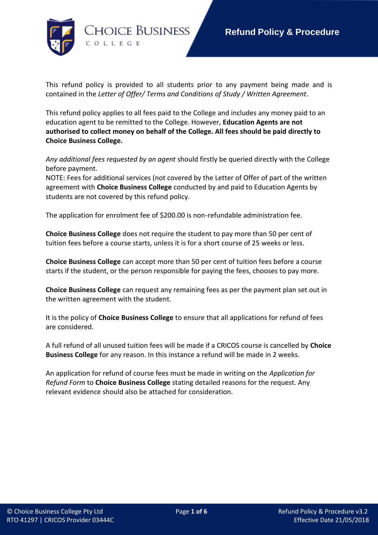

This refund policy is provided to all students prior to any payment being made and is contained in the *Letter of Offer/ Terms and Conditions of Study / Written Agreement*.

This refund policy applies to all fees paid to the College and includes any money paid to an education agent to be remitted to the College. However, **Education Agents are not authorised to collect money on behalf of the College. All fees should be paid directly to Choice Business College.**

*Any additional fees requested by an agent* should firstly be queried directly with the College before payment.

NOTE: Fees for additional services (not covered by the Letter of Offer of part of the written agreement with **Choice Business College** conducted by and paid to Education Agents by students are not covered by this refund policy.

The application for enrolment fee of \$200.00 is non-refundable administration fee.

**Choice Business College** does not require the student to pay more than 50 per cent of tuition fees before a course starts, unless it is for a short course of 25 weeks or less.

**Choice Business College** can accept more than 50 per cent of tuition fees before a course starts if the student, or the person responsible for paying the fees, chooses to pay more.

**Choice Business College** can request any remaining fees as per the payment plan set out in the written agreement with the student.

It is the policy of **Choice Business College** to ensure that all applications for refund of fees are considered.

A full refund of all unused tuition fees will be made if a CRICOS course is cancelled by **Choice Business College** for any reason. In this instance a refund will be made in 2 weeks.

An application for refund of course fees must be made in writing on the *Application for Refund Form* to **Choice Business College** stating detailed reasons for the request. Any relevant evidence should also be attached for consideration.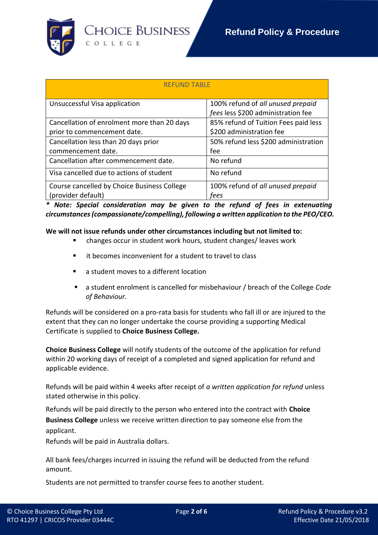

| <b>REFUND TABLE</b>                         |                                      |
|---------------------------------------------|--------------------------------------|
| Unsuccessful Visa application               | 100% refund of all unused prepaid    |
|                                             | fees less \$200 administration fee   |
| Cancellation of enrolment more than 20 days | 85% refund of Tuition Fees paid less |
| prior to commencement date.                 | \$200 administration fee             |
| Cancellation less than 20 days prior        | 50% refund less \$200 administration |
| commencement date.                          | fee                                  |
| Cancellation after commencement date.       | No refund                            |
| Visa cancelled due to actions of student    | No refund                            |
| Course cancelled by Choice Business College | 100% refund of all unused prepaid    |
| (provider default)                          | fees                                 |

*\* Note: Special consideration may be given to the refund of fees in extenuating circumstances (compassionate/compelling), following a written application to the PEO/CEO.*

**We will not issue refunds under other circumstances including but not limited to:**

- changes occur in student work hours, student changes/ leaves work
- it becomes inconvenient for a student to travel to class
- a student moves to a different location
- a student enrolment is cancelled for misbehaviour / breach of the College *Code of Behaviour.*

Refunds will be considered on a pro-rata basis for students who fall ill or are injured to the extent that they can no longer undertake the course providing a supporting Medical Certificate is supplied to **Choice Business College.**

**Choice Business College** will notify students of the outcome of the application for refund within 20 working days of receipt of a completed and signed application for refund and applicable evidence.

Refunds will be paid within 4 weeks after receipt of *a written application for refund* unless stated otherwise in this policy.

Refunds will be paid directly to the person who entered into the contract with **Choice Business College** unless we receive written direction to pay someone else from the applicant.

Refunds will be paid in Australia dollars.

All bank fees/charges incurred in issuing the refund will be deducted from the refund amount.

Students are not permitted to transfer course fees to another student.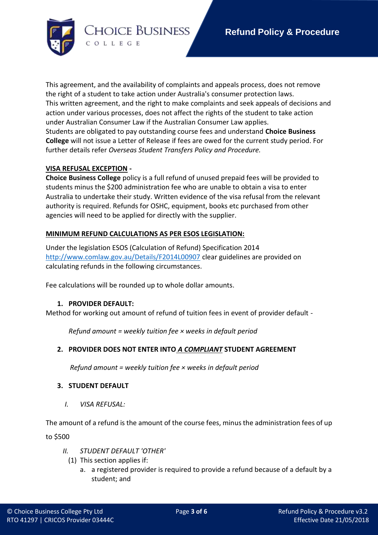

This agreement, and the availability of complaints and appeals process, does not remove the right of a student to take action under Australia's consumer protection laws. This written agreement, and the right to make complaints and seek appeals of decisions and action under various processes, does not affect the rights of the student to take action under Australian Consumer Law if the Australian Consumer Law applies. Students are obligated to pay outstanding course fees and understand **Choice Business College** will not issue a Letter of Release if fees are owed for the current study period. For further details refer *Overseas Student Transfers Policy and Procedure.*

### **VISA REFUSAL EXCEPTION -**

**Choice Business College** policy is a full refund of unused prepaid fees will be provided to students minus the \$200 administration fee who are unable to obtain a visa to enter Australia to undertake their study. Written evidence of the visa refusal from the relevant authority is required. Refunds for OSHC, equipment, books etc purchased from other agencies will need to be applied for directly with the supplier.

## **MINIMUM REFUND CALCULATIONS AS PER ESOS LEGISLATION:**

Under the legislation ESOS (Calculation of Refund) Specification 2014 <http://www.comlaw.gov.au/Details/F2014L00907> clear guidelines are provided on calculating refunds in the following circumstances.

Fee calculations will be rounded up to whole dollar amounts.

### **1. PROVIDER DEFAULT:**

Method for working out amount of refund of tuition fees in event of provider default -

*Refund amount = weekly tuition fee × weeks in default period*

### **2. PROVIDER DOES NOT ENTER INTO** *A COMPLIANT* **STUDENT AGREEMENT**

 *Refund amount = weekly tuition fee × weeks in default period*

### **3. STUDENT DEFAULT**

*I. VISA REFUSAL:*

The amount of a refund is the amount of the course fees, minus the administration fees of up to \$500

- *II. STUDENT DEFAULT 'OTHER'*
	- (1) This section applies if:
		- a. a registered provider is required to provide a refund because of a default by a student; and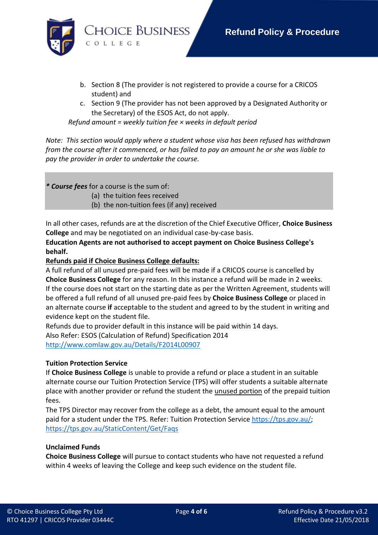

- b. Section 8 (The provider is not registered to provide a course for a CRICOS student) and
- c. Section 9 (The provider has not been approved by a Designated Authority or the Secretary) of the ESOS Act, do not apply.

 *Refund amount = weekly tuition fee × weeks in default period*

*Note: This section would apply where a student whose visa has been refused has withdrawn from the course after it commenced, or has failed to pay an amount he or she was liable to pay the provider in order to undertake the course.*

*\* Course fees* for a course is the sum of:

- (a) the tuition fees received
- (b) the non-tuition fees (if any) received

In all other cases, refunds are at the discretion of the Chief Executive Officer, **Choice Business College** and may be negotiated on an individual case-by-case basis.

**Education Agents are not authorised to accept payment on Choice Business College's behalf.**

# **Refunds paid if Choice Business College defaults:**

A full refund of all unused pre-paid fees will be made if a CRICOS course is cancelled by **Choice Business College** for any reason. In this instance a refund will be made in 2 weeks. If the course does not start on the starting date as per the Written Agreement, students will be offered a full refund of all unused pre-paid fees by **Choice Business College** or placed in an alternate course **if** acceptable to the student and agreed to by the student in writing and evidence kept on the student file.

Refunds due to provider default in this instance will be paid within 14 days. Also Refer: ESOS (Calculation of Refund) Specification 2014 <http://www.comlaw.gov.au/Details/F2014L00907>

### **Tuition Protection Service**

If **Choice Business College** is unable to provide a refund or place a student in an suitable alternate course our Tuition Protection Service (TPS) will offer students a suitable alternate place with another provider or refund the student the unused portion of the prepaid tuition fees.

The TPS Director may recover from the college as a debt, the amount equal to the amount paid for a student under the TPS. Refer: Tuition Protection Service [https://tps.gov.au/;](https://tps.gov.au/) <https://tps.gov.au/StaticContent/Get/Faqs>

### **Unclaimed Funds**

**Choice Business College** will pursue to contact students who have not requested a refund within 4 weeks of leaving the College and keep such evidence on the student file.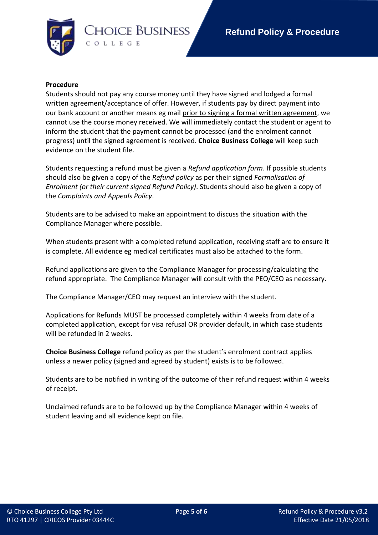

#### **Procedure**

Students should not pay any course money until they have signed and lodged a formal written agreement/acceptance of offer. However, if students pay by direct payment into our bank account or another means eg mail prior to signing a formal written agreement, we cannot use the course money received. We will immediately contact the student or agent to inform the student that the payment cannot be processed (and the enrolment cannot progress) until the signed agreement is received. **Choice Business College** will keep such evidence on the student file.

Students requesting a refund must be given a *Refund application form*. If possible students should also be given a copy of the *Refund policy* as per their signed *Formalisation of Enrolment (or their current signed Refund Policy)*. Students should also be given a copy of the *Complaints and Appeals Policy*.

Students are to be advised to make an appointment to discuss the situation with the Compliance Manager where possible.

When students present with a completed refund application, receiving staff are to ensure it is complete. All evidence eg medical certificates must also be attached to the form.

Refund applications are given to the Compliance Manager for processing/calculating the refund appropriate. The Compliance Manager will consult with the PEO/CEO as necessary.

The Compliance Manager/CEO may request an interview with the student.

Applications for Refunds MUST be processed completely within 4 weeks from date of a completed application, except for visa refusal OR provider default, in which case students will be refunded in 2 weeks.

**Choice Business College** refund policy as per the student's enrolment contract applies unless a newer policy (signed and agreed by student) exists is to be followed.

Students are to be notified in writing of the outcome of their refund request within 4 weeks of receipt.

Unclaimed refunds are to be followed up by the Compliance Manager within 4 weeks of student leaving and all evidence kept on file.